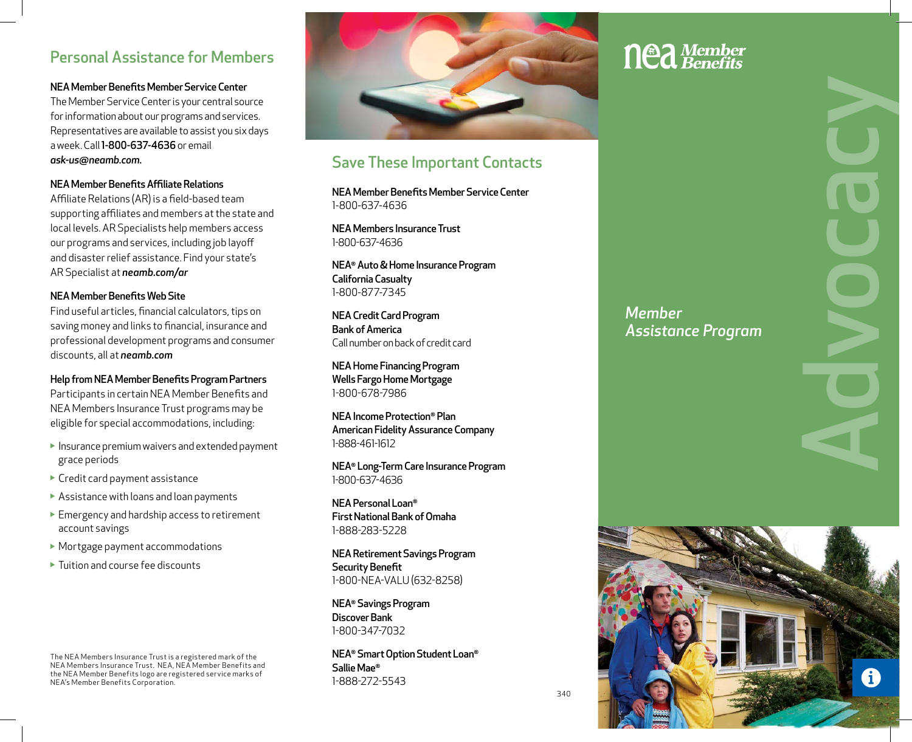### Personal Assistance for Members

### NEA Member Benefits Member Service Center

The Member Service Center is your central source for information about our programs and services. Representatives are available to assist you six days a week. Call 1-800-637-4636 or email *ask-us@neamb.com.*

### NEA Member Benefits Affiliate Relations

Affiliate Relations (AR) is a field-based team supporting affiliates and members at the state and local levels. AR Specialists help members access our programs and services, including job layoff and disaster relief assistance. Find your state's AR Specialist at *neamb.com/ar*

### NEA Member Benefits Web Site

Find useful articles, financial calculators, tips on saving money and links to financial, insurance and professional development programs and consumer discounts, all at *neamb.com*

Help from NEA Member Benefits Program Partners Participants in certain NEA Member Benefits and NEA Members Insurance Trust programs may be eligible for special accommodations, including:

- Insurance premium waivers and extended payment grace periods
- ▶ Credit card payment assistance
- Assistance with loans and loan payments
- Emergency and hardship access to retirement account savings
- Mortgage payment accommodations
- Tuition and course fee discounts

The NEA Members Insurance Trust is a registered mark of the NEA Members Insurance Trust. NEA, NEA Member Benefits and the NEA Member Benefits logo are registered service marks of NEA's Member Benefits Corporation.



# Save These Important Contacts

NEA Member Benefits Member Service Center 1-800-637-4636

NEA Members Insurance Trust 1-800-637-4636

NEA® Auto & Home Insurance Program California Casualty 1-800-877-7345

NEA Credit Card Program Bank of America Call number on back of credit card

NEA Home Financing Program Wells Fargo Home Mortgage 1-800-678-7986

NEA Income Protection® Plan American Fidelity Assurance Company 1-888-461-1612

NEA® Long-Term Care Insurance Program 1-800-637-4636

NEA Personal Loan® First National Bank of Omaha 1-888-283-5228

NEA Retirement Savings Program Security Benefit 1-800-NEA-VALU (632-8258)

NEA® Savings Program Discover Bank 1-800-347-7032

NEA® Smart Option Student Loan® Sallie Mae® 1-888-272-5543

# **nea** Member

*Member* 

*Assistance Program*

**Advocacy**